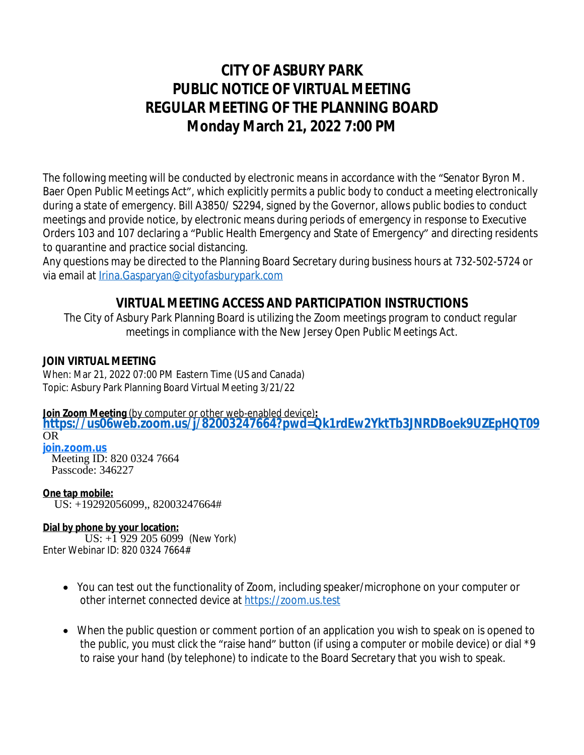# **CITY OF ASBURY PARK PUBLIC NOTICE OF VIRTUAL MEETING REGULAR MEETING OF THE PLANNING BOARD Monday March 21, 2022 7:00 PM**

The following meeting will be conducted by electronic means in accordance with the "Senator Byron M. Baer Open Public Meetings Act", which explicitly permits a public body to conduct a meeting electronically during a state of emergency. Bill A3850/ [S2294,](https://www.njleg.state.nj.us/wmobile/BillViewwml.asp?varBillNumbr=S2294) signed by the Governor, allows public bodies to conduct meetings and provide notice, by electronic means during periods of emergency in response to Executive Orders 103 and 107 declaring a "Public Health Emergency and State of Emergency" and directing residents to quarantine and practice social distancing.

Any questions may be directed to the Planning Board Secretary during business hours at 732-502-5724 or via email at [Irina.Gasparyan@cityofasburypark.com](mailto:Irina.Gasparyan@cityofasburypark.com)

## **[VIRTUAL MEETING ACCESS](mailto:Irina.Gasparyan@cityofasburypark.com) [AND PARTICIPATION INSTRUCTIONS](mailto:Irina.Gasparyan@cityofasburypark.com)**

[The City of Asbury Park Planning Board is utilizing the Zoom meetings program to conduct regular](mailto:Irina.Gasparyan@cityofasburypark.com) [meetings in compliance with the New Jersey Open Public Meetings Act.](mailto:Irina.Gasparyan@cityofasburypark.com)

### **[JOIN VIRTUAL MEETING](mailto:Irina.Gasparyan@cityofasburypark.com)**

[When: Mar 21, 2022 07:00 PM Eastern Time \(US and Canada\)](mailto:Irina.Gasparyan@cityofasburypark.com) [Topic: Asbury Park Planning Board Virtual Meeting 3/21/22](mailto:Irina.Gasparyan@cityofasburypark.com)

**[Join Zoom Meeting](mailto:Irina.Gasparyan@cityofasburypark.com)** [\(by computer or other web-enabled device\)](mailto:Irina.Gasparyan@cityofasburypark.com)**[:](mailto:Irina.Gasparyan@cityofasburypark.com)**

**<https://us06web.zoom.us/j/82003247664?pwd=Qk1rdEw2YktTb3JNRDBoek9UZEpHQT09>** OR

**[join.zoom.us](https://join.zoom.us/)** Meeting ID: 820 0324 7664 Passcode: 346227

**One tap mobile:** US: +19292056099,, 82003247664#

### **Dial by phone by your location:**

 US: +1 929 205 6099 (New York) Enter Webinar ID: 820 0324 7664#

- You can test out the functionality of Zoom, including speaker/microphone on your computer or other internet connected device at <https://zoom.us.test>
- [When the public question or comment portion of an application you wish to speak on is opened to](https://zoom.us.test)  [the public, you must click the](https://zoom.us.test) "[raise hand](https://zoom.us.test)" button [\(if using a computer or mobile device\)](https://zoom.us.test) [or dial \\*9](https://zoom.us.test)  [to raise your hand \(by telephone\) to indicate to the Board](https://zoom.us.test) [Secretary that you wish to speak.](https://zoom.us.test)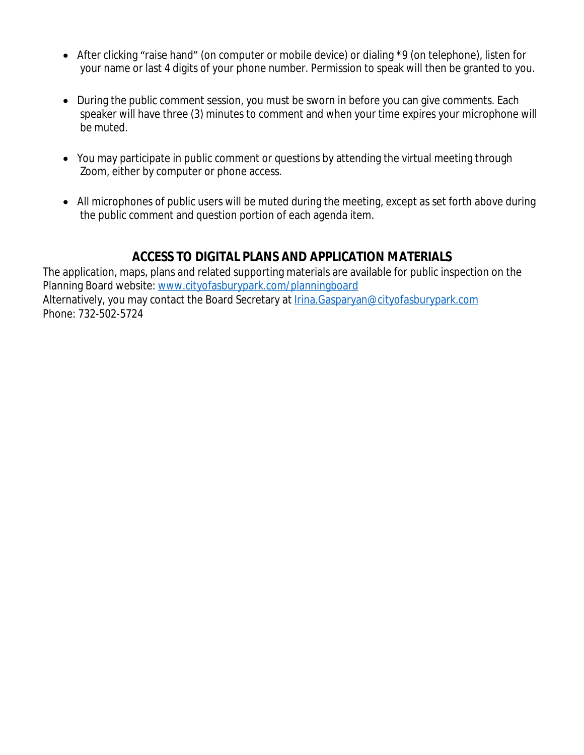- After clicking "raise hand" (on computer or mobile device) or dialing \*9 (on telephone), listen for your name or last 4 digits of your phone number. Permission to speak will then be granted to you.
- During the public comment session, you must be sworn in before you can give comments. Each speaker will have three (3) minutes to comment and when your time expires your microphone will be muted.
- You may participate in public comment or questions by attending the virtual meeting through Zoom, either by computer or phone access.
- All microphones of public users will be muted during the meeting, except as set forth above during the public comment and question portion of each agenda item.

## **ACCESS TO DIGITAL PLANS AND APPLICATION MATERIALS**

The application, maps, plans and related supporting materials are available for public inspection on the Planning Board website: [www.cityofasburypark.com/planningboard](http://www.cityofasburypark.com/planningboard) [Alternatively, you may contact the Board Secretary at](http://www.cityofasburypark.com/planningboard) *[Irina.Gasparyan@cityofasburypark.com](mailto:Irina.Gasparyan@cityofasburypark.com)* [Phone: 732-502-5724](mailto:Irina.Gasparyan@cityofasburypark.com)